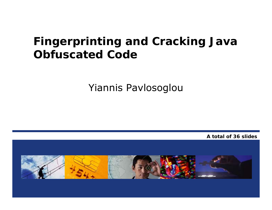#### **Fingerprinting and Cracking Java Obfuscated Code**

Yiannis Pavlosoglou

**A total of 36 slides**

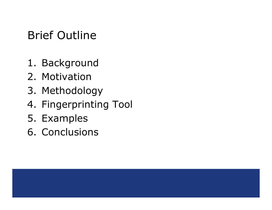## Brief Outline

- 1. Background
- 2. Motivation
- 3. Methodology
- 4. Fingerprinting Tool
- 5. Examples
- 6. Conclusions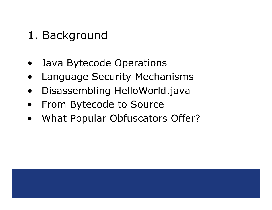#### 1. Background

- •Java Bytecode Operations
- •Language Security Mechanisms
- •Disassembling HelloWorld.java
- •From Bytecode to Source
- •What Popular Obfuscators Offer?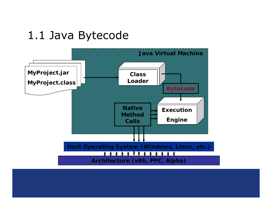#### 1.1 Java Bytecode

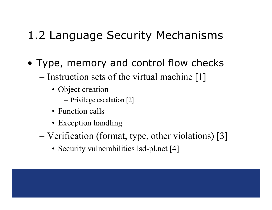## 1.2 Language Security Mechanisms

- Type, memory and control flow checks
	- – $-$  Instruction sets of the virtual machine [1]
		- Object creation
			- Privilege escalation [2]
		- Function calls
		- Exception handling
	- – Verification (format, type, other violations) [3]
		- Security vulnerabilities lsd-pl.net [4]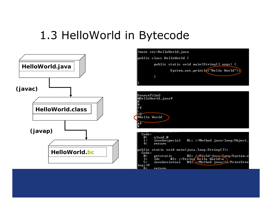## 1.3 HelloWorld in Bytecode

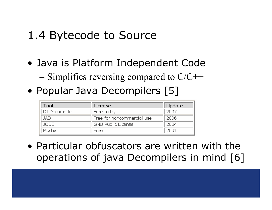#### 1.4 Bytecode to Source

- Java is Platform Independent Code
	- – $-$  Simplifies reversing compared to C/C++
- Popular Java Decompilers [5]

| Tool          | License                    | Update |
|---------------|----------------------------|--------|
| DJ Decompiler | Free to try                | 2007   |
| JAD.          | Free for noncommercial use | 2006   |
| JODE.         | <b>GNU Public License</b>  | 2004   |
| Mocha         | Free                       | 2001   |

• Particular obfuscators are written with the operations of java Decompilers in mind [6]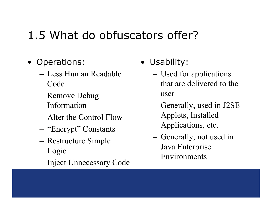# 1.5 What do obfuscators offer?

- Operations:
	- Less Human Readable Code
	- Remove Debug Information
	- Alter the Control Flow
	- "Encrypt" Constants
	- Restructure Simple Logic
	- Inject Unnecessary Code
- Usability:
	- Used for applications that are delivered to the user
	- Generally, used in J2SE Applets, Installed Applications, etc.
	- Generally, not used in Java Enterprise Environments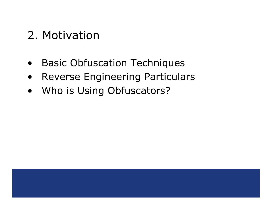### 2. Motivation

- •Basic Obfuscation Techniques
- •Reverse Engineering Particulars
- $\bullet$ Who is Using Obfuscators?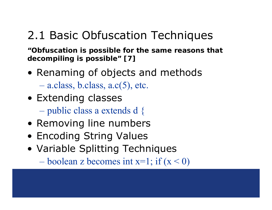## 2.1 Basic Obfuscation Techniques

**"Obfuscation is possible for the same reasons that decompiling is possible" [7]**

- Renaming of objects and methods a.class, b.class, a.c(5), etc.
- Extending classes
	- public class a extends d {
- Removing line numbers
- Encoding String Values
- Variable Splitting Techniques

 $-$  boolean z becomes int x=1; if  $(x < 0)$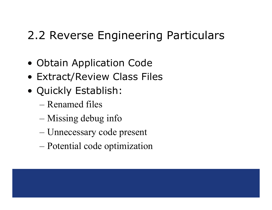## 2.2 Reverse Engineering Particulars

- Obtain Application Code
- Extract/Review Class Files
- Quickly Establish:
	- Renamed files
	- Missing debug info
	- –Unnecessary code present
	- –Potential code optimization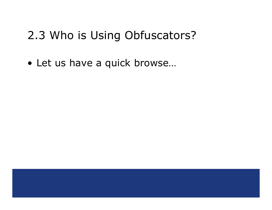#### 2.3 Who is Using Obfuscators?

• Let us have a quick browse…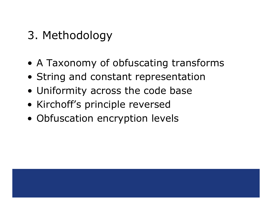- 3. Methodology
- A Taxonomy of obfuscating transforms
- String and constant representation
- Uniformity across the code base
- Kirchoff's principle reversed
- Obfuscation encryption levels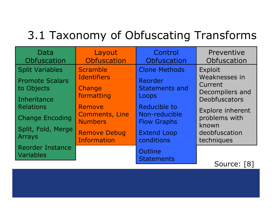# 3.1 Taxonomy of Obfuscating Transforms

| Data<br>Obfuscation                  | Layout<br>Obfuscation                      | Control<br>Obfuscation                    | Preventive<br>Obfuscation                   |
|--------------------------------------|--------------------------------------------|-------------------------------------------|---------------------------------------------|
| <b>Split Variables</b>               | Scramble                                   | <b>Clone Methods</b>                      | Exploit                                     |
| <b>Promote Scalars</b><br>to Objects | <b>Identifiers</b><br>Change<br>formatting | Reorder<br><b>Statements and</b><br>Loops | Weaknesses in<br>Current<br>Decompilers and |
| Inheritance<br><b>Relations</b>      | Remove                                     | Reducible to                              | <b>Deobfuscators</b>                        |
| <b>Change Encoding</b>               | <b>Comments, Line</b><br><b>Numbers</b>    | Non-reducible<br><b>Flow Graphs</b>       | Explore inherent<br>problems with           |
| Split, Fold, Merge<br>Arrays         | <b>Remove Debug</b><br><b>Information</b>  | <b>Extend Loop</b><br>conditions          | known<br>deobfuscation<br>techniques        |
| <b>Reorder Instance</b><br>Variables |                                            | Outline<br><b>Statements</b>              |                                             |

Source: [8]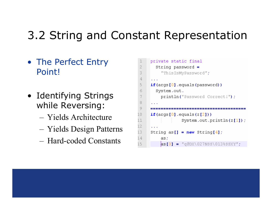## 3.2 String and Constant Representation

- The Perfect Entry Point!
- Identifying Strings while Reversing:
	- Yields Architecture
	- Yields Design Patterns
	- Hard-coded Constants

| 1              | private static final                      |  |  |  |  |  |  |  |  |  |  |  |  |
|----------------|-------------------------------------------|--|--|--|--|--|--|--|--|--|--|--|--|
| 2              | String password $=$                       |  |  |  |  |  |  |  |  |  |  |  |  |
| 3              | "ThisIsMyPassword";                       |  |  |  |  |  |  |  |  |  |  |  |  |
| $\overline{4}$ |                                           |  |  |  |  |  |  |  |  |  |  |  |  |
| 5              | if(args[0].equals(password))              |  |  |  |  |  |  |  |  |  |  |  |  |
| 6              | System.out.                               |  |  |  |  |  |  |  |  |  |  |  |  |
| 7              | println("Password Correct!");             |  |  |  |  |  |  |  |  |  |  |  |  |
| 8              |                                           |  |  |  |  |  |  |  |  |  |  |  |  |
| 9              |                                           |  |  |  |  |  |  |  |  |  |  |  |  |
| LO.            | $if(\arg[0].equals(z[2]))$                |  |  |  |  |  |  |  |  |  |  |  |  |
| 11             | System.out.println $(z[1])$ ;             |  |  |  |  |  |  |  |  |  |  |  |  |
| L2             |                                           |  |  |  |  |  |  |  |  |  |  |  |  |
| L3             | String as $[] = new String [4];$          |  |  |  |  |  |  |  |  |  |  |  |  |
| 14             | as;                                       |  |  |  |  |  |  |  |  |  |  |  |  |
| 15             | $\text{as} [0] = "q0DX\027Nss\013*ssXY";$ |  |  |  |  |  |  |  |  |  |  |  |  |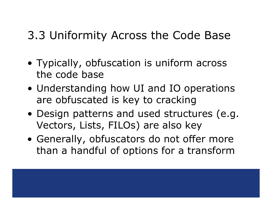#### 3.3 Uniformity Across the Code Base

- Typically, obfuscation is uniform across the code base
- Understanding how UI and IO operations are obfuscated is key to cracking
- Design patterns and used structures (e.g. Vectors, Lists, FILOs) are also key
- Generally, obfuscators do not offer more than a handful of options for a transform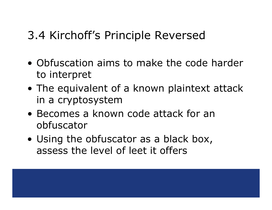## 3.4 Kirchoff's Principle Reversed

- Obfuscation aims to make the code harder to interpret
- The equivalent of a known plaintext attack in a cryptosystem
- Becomes a known code attack for an obfuscator
- Using the obfuscator as a black box, assess the level of leet it offers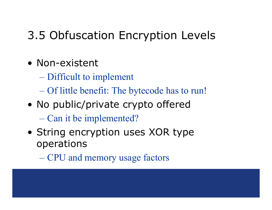## 3.5 Obfuscation Encryption Levels

- Non-existent
	- Difficult to implement
	- Of little benefit: The bytecode has to run!
- No public/private crypto offered Can it be implemented?
- String encryption uses XOR type operations
	- CPU and memory usage factors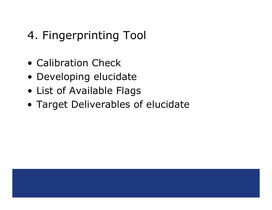# 4. Fingerprinting Tool

- Calibration Check
- Developing elucidate
- List of Available Flags
- Target Deliverables of elucidate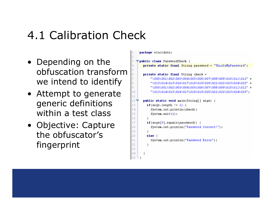## 4.1 Calibration Check

- Depending on the obfuscation transform we intend to identify
- Attempt to generate generic definitions within a test class
- Objective: Capture the obfuscator's fingerprint

```
package elucidate;
```
 $\overline{c}$  $\overline{3}$ 

 $\overline{4}$ 

 $\overline{5}$ 

8

ğ.

10

 $11$ 

13 14

15

16

17

18

19

20

21

```
∀public class PasswordCheck {
 private static final String password = "ThisIsMvPassword":
 private static final String check =
      " \& 000 \& 001 \& 002 \& 003 \& 004 \& 005 \& 006 \& 007 \& 008 \& 009 \& 010 \& 011 \& 012" +"\013\014\015\016\017\018\019\020\021\022\023\024\025" +
      " \ 000 \ 001 \ 002 \ 003 \ 004 \ 005 \ 006 \ 007 \ 008 \ 009 \ 010 \ 011 \ 012" +" \013 \014 \015 \016 \017 \018 \019 \020 \021 \022 \023 \024 \025".12 ⊽
public static void main(String[] args) {
   if(args.length != 1) {
      System.out.println(check);
     System.exit(1);
   λ.
   if(args[0].equals(password)) {
      System.out.println("Password Correct!");
   λ.
   else \langleSystem.out.println("Password Error");
```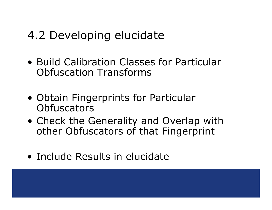## 4.2 Developing elucidate

- Build Calibration Classes for Particular Obfuscation Transforms
- Obtain Fingerprints for Particular **Obfuscators**
- Check the Generality and Overlap with other Obfuscators of that Fingerprint
- Include Results in elucidate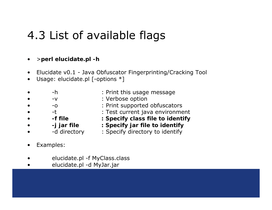## 4.3 List of available flags

- •<sup>&</sup>gt;**perl elucidate.pl -h**
- •Elucidate v0.1 - Java Obfuscator Fingerprinting/Cracking Tool
- •Usage: elucidate.pl [-options \*]
- •
- •
- •
- •
- •
- •
- •
- -h : Print this usage message
- -v : Verbose option
- -o : Print supported obfuscators
- -t : Test current java environment
- **-f file : Specify class file to identify**
- **-j jar file : Specify jar file to identify**
- -d directory : Specify directory to identify
- •Examples:
- •elucidate.pl -f MyClass.class
- •elucidate.pl -d MyJar.jar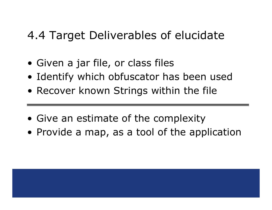#### 4.4 Target Deliverables of elucidate

- Given a jar file, or class files
- Identify which obfuscator has been used
- Recover known Strings within the file
- Give an estimate of the complexity
- Provide a map, as a tool of the application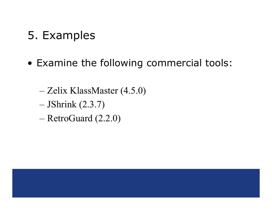- 5. Examples
- Examine the following commercial tools:
	- –Zelix KlassMaster (4.5.0)
	- –JShrink (2.3.7)
	- RetroGuard (2.2.0)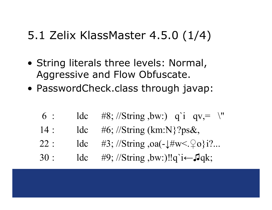## 5.1 Zelix KlassMaster 4.5.0 (1/4)

- String literals three levels: Normal, Aggressive and Flow Obfuscate.
- PasswordCheck.class through javap:
	- 6ldc #8; //String ,bw:) q`i qv,= \"
	- $14:$ : ldc #6; //String (km:N}?ps&,
	- $22:$  $1dc$  #3; //String ,oa(- $\frac{1}{2}$ #w<. $\frac{1}{2}$ o}i?...
	- 30ldc #9; //String ,bw:)‼q`i $\leftarrow$  Jqk;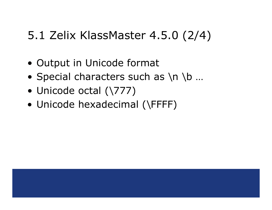## 5.1 Zelix KlassMaster 4.5.0 (2/4)

- Output in Unicode format
- Special characters such as \n \b ...
- Unicode octal (\777)
- Unicode hexadecimal (\FFFF)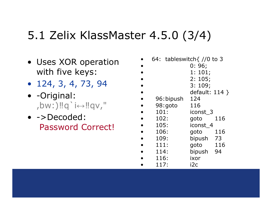# 5.1 Zelix KlassMaster 4.5.0 (3/4)

- Uses XOR operation with five keys:
- 124, 3, 4, 73, 94
- -Original: ,bw:)‼q`i↔‼qv,"
- ->Decoded: Password Correct!

|           | 64: tableswitch $\frac{7}{0}$ to 3 |  |  |  |  |  |
|-----------|------------------------------------|--|--|--|--|--|
|           | 0:96;                              |  |  |  |  |  |
|           | 1: 101;                            |  |  |  |  |  |
|           | 2:105;                             |  |  |  |  |  |
|           | 3:109;                             |  |  |  |  |  |
|           | default: $114$ }                   |  |  |  |  |  |
| 96:bipush | - 124                              |  |  |  |  |  |
| 98:goto   | -116                               |  |  |  |  |  |
| 101:      | iconst 3                           |  |  |  |  |  |
| 102:      | 116<br>goto                        |  |  |  |  |  |
| 105:      | iconst 4                           |  |  |  |  |  |
| 106:      | 116<br>goto                        |  |  |  |  |  |
| 109:      | bipush 73                          |  |  |  |  |  |
| 111:      | 116<br>goto                        |  |  |  |  |  |
| 114:      | bipush 94                          |  |  |  |  |  |
| 116:      | ixor                               |  |  |  |  |  |
| 117:      | i2c                                |  |  |  |  |  |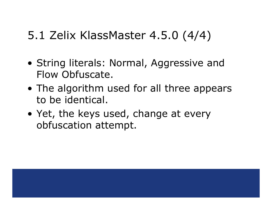## 5.1 Zelix KlassMaster 4.5.0 (4/4)

- String literals: Normal, Aggressive and Flow Obfuscate.
- The algorithm used for all three appears to be identical.
- Yet, the keys used, change at every obfuscation attempt.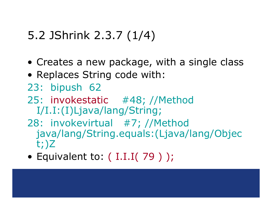# 5.2 JShrink 2.3.7 (1/4)

- Creates a new package, with a single class
- Replaces String code with:
- 23: bipush 62
- 25: invokestatic #48; //Method I/I.I:(I)Ljava/lang/String;
- 28: invokevirtual #7; //Method java/lang/String.equals:(Ljava/lang/Objec t;)Z
- Equivalent to: ( I.I.I( 79 ) );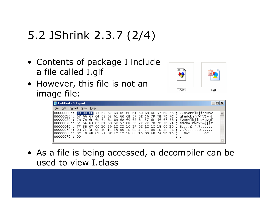# 5.2 JShrink 2.3.7 (2/4)

- Contents of package I include a file called I.gif
- However, this file is not an image file:



| <b>Untitled - Notepad</b>  |  |  |  |  |  |  |  |  |                                                                                                                                                                                                                                                                                                                                                                                                                                                                                       | $ \Box$ $\times$ |
|----------------------------|--|--|--|--|--|--|--|--|---------------------------------------------------------------------------------------------------------------------------------------------------------------------------------------------------------------------------------------------------------------------------------------------------------------------------------------------------------------------------------------------------------------------------------------------------------------------------------------|------------------|
| File Edit Format View Help |  |  |  |  |  |  |  |  |                                                                                                                                                                                                                                                                                                                                                                                                                                                                                       |                  |
| 00000070h: 00              |  |  |  |  |  |  |  |  | 00000000h: 00 00 6F 53 6F 6E 6D 6C 6B 6A 69 68 6F 57 6F 56 ; osonmlkjihowov<br>  00000010h: 67 66 65 64 63 62 61 60 6E 57 6E 56 7F 7E 7D 7C ; qfedcba`nwnVD~} <br>∥00000020h: 7B 7A 6F 6E 6D 6C 6B 6A 69 68 6F 57 6F 56 67 66 ; {zonmlkiihowovqf<br> 00000030h: 65 64 63 62 61 60 6E 57 6E 56 7F 7E 7D 7C 7B 7A ; edcba`nwn∨B∼} {z<br> 00000040h: 7F 3B 07 06 1C 26 1C 22 16 3F 0E 1C 1C 18 00 1D ; B;&.".?<br>$ 00000060h$ : OC 1B 4E 61 3F OE 1C 1C 18 00 1D 0B 4F 2A 1D 1D ; Na?O* |                  |

• As a file is being accessed, a decompiler can be used to view I.class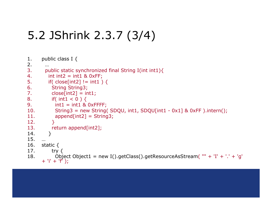# 5.2 JShrink 2.3.7 (3/4)

1. public class I { 2. …3. public static synchronized final String I(int int1){ 4. $\cdot$  int int2 = int1 & 0xFF; 5.if( close[int2]  $!=$  int1 ) { 6. String String3; 7. $close(int2] = int1;$ 8.if(  $int1 < 0$  ) { 9. $i = int1 \text{ s}$  oxFFFF; 10.String3 = new String( SDQU, int1, SDQU[int1 -  $0x1$ ] &  $0xFF$  ).intern(); 11. append[int2] = String3; 12. } 13. return append[int2]; 14. } 15. …16. static { 17. try { 18.Object Object1 = new I().getClass().getResourceAsStream( "" + 'I' + '.' + 'g' + 'i' + 'f' );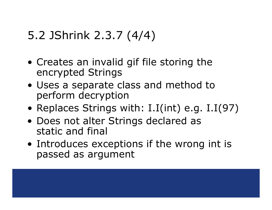# 5.2 JShrink 2.3.7 (4/4)

- Creates an invalid gif file storing the encrypted Strings
- Uses a separate class and method to perform decryption
- Replaces Strings with: I.I(int) e.g. I.I(97)
- Does not alter Strings declared as static and final
- Introduces exceptions if the wrong int is passed as argument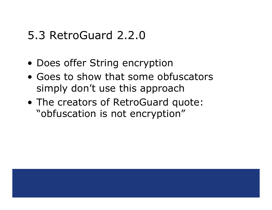#### 5.3 RetroGuard 2.2.0

- Does offer String encryption
- Goes to show that some obfuscators simply don't use this approach
- The creators of RetroGuard quote: "obfuscation is not encryption"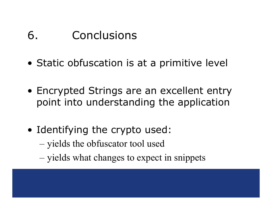#### 6. Conclusions

- Static obfuscation is at a primitive level
- Encrypted Strings are an excellent entry point into understanding the application
- Identifying the crypto used:
	- –yields the obfuscator tool used
	- –– yields what changes to expect in snippets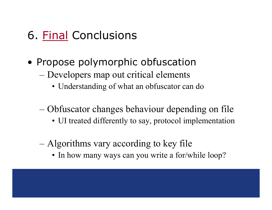## 6. Final Conclusions

- Propose polymorphic obfuscation
	- – Developers map out critical elements
		- Understanding of what an obfuscator can do
	- – Obfuscator changes behaviour depending on file
		- UI treated differently to say, protocol implementation
	- – Algorithms vary according to key file
		- In how many ways can you write a for/while loop?